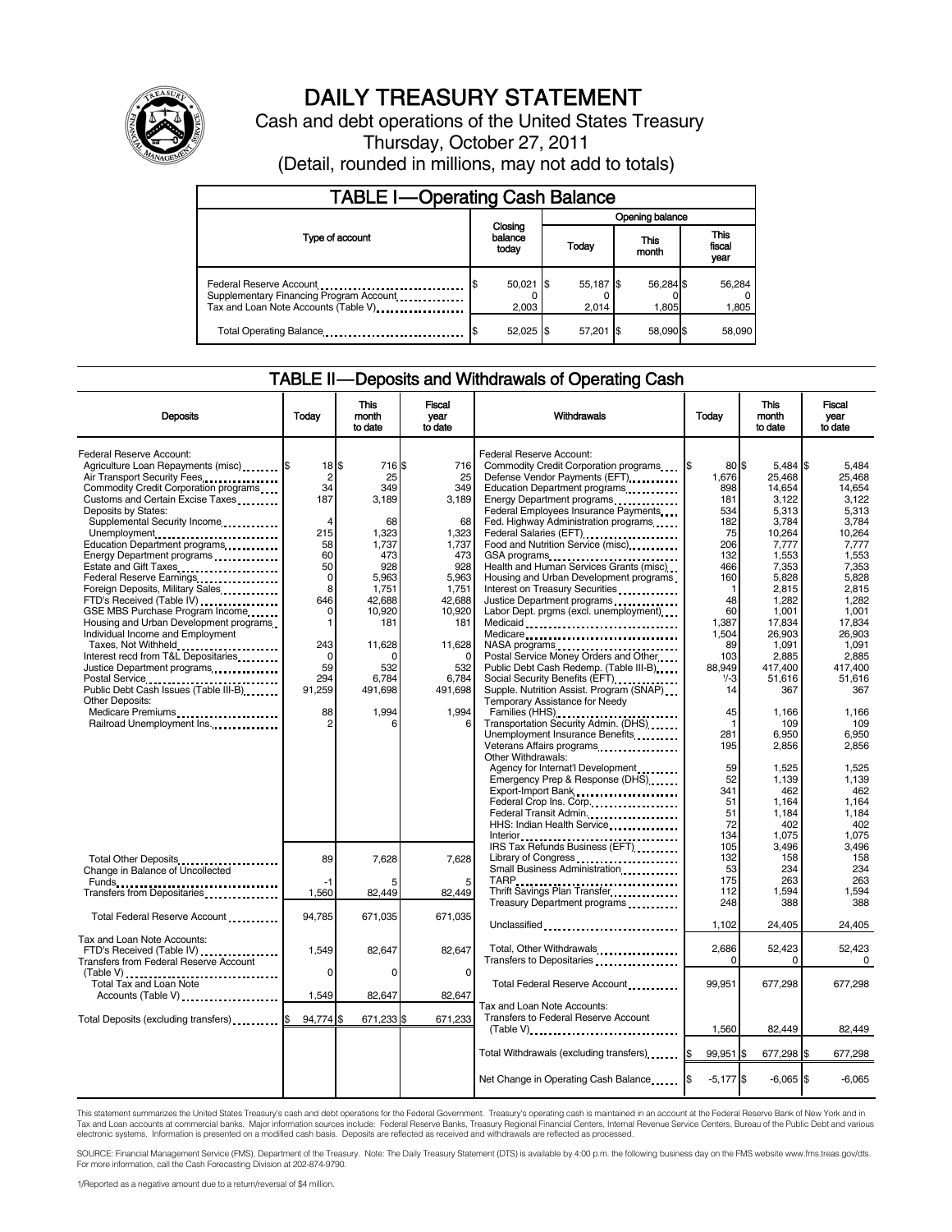

# DAILY TREASURY STATEMENT

Cash and debt operations of the United States Treasury Thursday, October 27, 2011 (Detail, rounded in millions, may not add to totals)

| <b>TABLE I-Operating Cash Balance</b>                                                                      |                             |  |                    |                    |                               |  |  |
|------------------------------------------------------------------------------------------------------------|-----------------------------|--|--------------------|--------------------|-------------------------------|--|--|
|                                                                                                            | Closing<br>balance<br>today |  | Opening balance    |                    |                               |  |  |
| Type of account                                                                                            |                             |  | Today              | This<br>month      | <b>This</b><br>fiscal<br>year |  |  |
| Federal Reserve Account<br>Supplementary Financing Program Account<br>Tax and Loan Note Accounts (Table V) | $50,021$ \$<br>2.003        |  | 55,187 \$<br>2,014 | 56,284 \$<br>1,805 | 56,284<br>1,805               |  |  |
| Total Operating Balance                                                                                    | $52,025$ \$                 |  | 57.201 \$          | 58.090 \$          | 58,090                        |  |  |

# TABLE II — Deposits and Withdrawals of Operating Cash

| <b>Deposits</b>                                                                                                                                                              | Today                   | <b>This</b><br>month<br>to date | <b>Fiscal</b><br>year<br>to date | Withdrawals                                                            | Today                 | This<br>month<br>to date | <b>Fiscal</b><br>vear<br>to date |
|------------------------------------------------------------------------------------------------------------------------------------------------------------------------------|-------------------------|---------------------------------|----------------------------------|------------------------------------------------------------------------|-----------------------|--------------------------|----------------------------------|
| Federal Reserve Account:                                                                                                                                                     |                         |                                 |                                  | Federal Reserve Account:                                               |                       |                          |                                  |
| Agriculture Loan Repayments (misc) [63]                                                                                                                                      | 18 \$<br>$\overline{2}$ | 716 \$<br>25                    | 716<br>25                        | Commodity Credit Corporation programs                                  | 80 \$<br>1\$<br>1,676 | 5.484 \$<br>25,468       | 5,484<br>25.468                  |
| Air Transport Security Fees<br>Commodity Credit Corporation programs                                                                                                         | 34                      | 349                             | 349                              | Defense Vendor Payments (EFT)<br>Education Department programs         | 898                   | 14,654                   | 14,654                           |
| Customs and Certain Excise Taxes                                                                                                                                             | 187                     | 3,189                           | 3,189                            | Energy Department programs<br>                                         | 181                   | 3,122                    | 3,122                            |
| Deposits by States:                                                                                                                                                          |                         |                                 |                                  | Federal Employees Insurance Payments                                   | 534                   | 5,313                    | 5,313                            |
| Supplemental Security Income                                                                                                                                                 | 4                       | 68                              | 68                               | Fed. Highway Administration programs                                   | 182                   | 3,784                    | 3,784                            |
| Unemployment                                                                                                                                                                 | 215                     | 1.323                           | 1.323                            | Federal Salaries (EFT)                                                 | 75                    | 10,264                   | 10.264                           |
| Education Department programs                                                                                                                                                | 58<br>60                | 1,737<br>473                    | 1,737<br>473                     | Food and Nutrition Service (misc)                                      | 206<br>132            | 7,777<br>1,553           | 7,777<br>1.553                   |
| Energy Department programs<br>Estate and Gift Taxes                                                                                                                          | 50                      | 928                             | 928                              | GSA programs<br>Health and Human Services Grants (misc)                | 466                   | 7,353                    | 7,353                            |
| Federal Reserve Earnings                                                                                                                                                     | 0                       | 5,963                           | 5,963                            | Housing and Urban Development programs                                 | 160                   | 5,828                    | 5,828                            |
| Foreign Deposits, Military Sales                                                                                                                                             | 8                       | 1,751                           | 1,751                            | Interest on Treasury Securities                                        | -1                    | 2,815                    | 2,815                            |
| FTD's Received (Table IV)                                                                                                                                                    | 646                     | 42,688                          | 42,688                           | Justice Department programs                                            | 48                    | 1,282                    | 1,282                            |
| GSE MBS Purchase Program Income                                                                                                                                              | $\Omega$                | 10,920                          | 10,920                           | Labor Dept. prgms (excl. unemployment)                                 | 60                    | 1,001                    | 1,001                            |
| Housing and Urban Development programs<br>Individual Income and Employment                                                                                                   | $\mathbf{1}$            | 181                             | 181                              | Medicaid                                                               | 1.387<br>1.504        | 17.834<br>26.903         | 17,834<br>26.903                 |
| Taxes, Not Withheld                                                                                                                                                          | 243                     | 11,628                          | 11,628                           | Medicare<br>NASA programs<br>Postal Service Money Orders and Other<br> | 89                    | 1.091                    | 1.091                            |
| Interest recd from T&L Depositaries                                                                                                                                          | $\mathbf 0$             |                                 |                                  |                                                                        | 103                   | 2,885                    | 2,885                            |
| Justice Department programs                                                                                                                                                  | 59                      | 532                             | 532                              | Public Debt Cash Redemp. (Table III-B)                                 | 88,949                | 417,400                  | 417,400                          |
| Postal Service<br>Public Debt Cash Issues (Table III-B)<br>The Line of Cash Issues (Table III-B)                                                                             | 294                     | 6.784                           | 6.784                            | Social Security Benefits (EFT)                                         | $^{1/-}3$             | 51,616                   | 51,616                           |
|                                                                                                                                                                              | 91,259                  | 491,698                         | 491,698                          | Supple. Nutrition Assist. Program (SNAP)                               | 14                    | 367                      | 367                              |
| Other Deposits:                                                                                                                                                              | 88                      | 1.994                           | 1,994                            | Temporary Assistance for Needy                                         | 45                    | 1,166                    | 1,166                            |
| Medicare Premiums<br>Railroad Unemployment Ins                                                                                                                               | 2                       |                                 | 6                                | Families (HHS)<br>Transportation Security Admin. (DHS)                 |                       | 109                      | 109                              |
|                                                                                                                                                                              |                         |                                 |                                  | Unemployment Insurance Benefits                                        | 281                   | 6.950                    | 6.950                            |
|                                                                                                                                                                              |                         |                                 |                                  | Veterans Affairs programs                                              | 195                   | 2,856                    | 2,856                            |
|                                                                                                                                                                              |                         |                                 |                                  | Other Withdrawals:                                                     |                       |                          |                                  |
|                                                                                                                                                                              |                         |                                 |                                  | Agency for Internat'l Development                                      | 59                    | 1,525                    | 1,525                            |
|                                                                                                                                                                              |                         |                                 |                                  | Emergency Prep & Response (DHS)                                        | 52<br>341             | 1,139<br>462             | 1.139                            |
|                                                                                                                                                                              |                         |                                 |                                  | Export-Import Bank<br><br>Federal Crop Ins. Corp                       | 51                    | 1,164                    | 462<br>1.164                     |
|                                                                                                                                                                              |                         |                                 |                                  | Federal Transit Admin.                                                 | 51                    | 1.184                    | 1.184                            |
|                                                                                                                                                                              |                         |                                 |                                  | HHS: Indian Health Service                                             | 72                    | 402                      | 402                              |
|                                                                                                                                                                              |                         |                                 |                                  |                                                                        | 134                   | 1,075                    | 1,075                            |
|                                                                                                                                                                              |                         |                                 |                                  | IRS Tax Refunds Business (EFT)                                         | 105                   | 3,496                    | 3,496                            |
| Total Other Deposits                                                                                                                                                         | 89                      | 7,628                           | 7,628                            | Library of Congress<br>Small Business Administration                   | 132<br>53             | 158<br>234               | 158<br>234                       |
| Change in Balance of Uncollected                                                                                                                                             | $-1$                    |                                 | 5                                | TARP                                                                   | 175                   | 263                      | 263                              |
| Transfers from Depositaries                                                                                                                                                  | 1,560                   | 82,449                          | 82,449                           | Thrift Savings Plan Transfer                                           | 112                   | 1,594                    | 1,594                            |
|                                                                                                                                                                              |                         |                                 |                                  | Treasury Department programs                                           | 248                   | 388                      | 388                              |
| Total Federal Reserve Account                                                                                                                                                | 94,785                  | 671,035                         | 671,035                          |                                                                        |                       |                          |                                  |
|                                                                                                                                                                              |                         |                                 |                                  | Unclassified                                                           | 1,102                 | 24,405                   | 24,405                           |
| Tax and Loan Note Accounts:                                                                                                                                                  |                         |                                 |                                  |                                                                        | 2,686                 | 52,423                   | 52,423                           |
| FTD's Received (Table IV)<br>Transfers from Federal Reserve Account                                                                                                          | 1,549                   | 82,647                          | 82,647                           | Total, Other Withdrawals<br>Transfers to Depositaries                  | $\Omega$              | 0                        | 0                                |
|                                                                                                                                                                              | $\Omega$                | $\Omega$                        | $\Omega$                         |                                                                        |                       |                          |                                  |
| $\begin{array}{c} \text{(Table V)} {\bf ,}\ {\bf .}\ {\bf .}\ {\bf .}\ {\bf .}\ {\bf .}\ {\bf .}\ {\bf .}\ {\bf .}\ \text{(10)}\ \text{Total Tax and Loan Note} \end{array}$ |                         |                                 |                                  | Total Federal Reserve Account                                          | 99.951                | 677.298                  | 677,298                          |
| Accounts (Table V)                                                                                                                                                           | 1.549                   | 82,647                          | 82,647                           |                                                                        |                       |                          |                                  |
|                                                                                                                                                                              |                         |                                 |                                  | Tax and Loan Note Accounts:                                            |                       |                          |                                  |
| Total Deposits (excluding transfers) [10001]                                                                                                                                 | 94,774 \$               | 671,233 \$                      | 671,233                          | Transfers to Federal Reserve Account                                   |                       |                          |                                  |
|                                                                                                                                                                              |                         |                                 |                                  | $(Table V)$                                                            | 1,560                 | 82,449                   | 82,449                           |
|                                                                                                                                                                              |                         |                                 |                                  | Total Withdrawals (excluding transfers) [\$                            | 99,951                | 677,298 \$               | 677,298                          |
|                                                                                                                                                                              |                         |                                 |                                  |                                                                        |                       |                          |                                  |
|                                                                                                                                                                              |                         |                                 |                                  | Net Change in Operating Cash Balance                                   | $-5,177$ \$           | $-6,065$ \$              | $-6,065$                         |
|                                                                                                                                                                              |                         |                                 |                                  |                                                                        |                       |                          |                                  |

This statement summarizes the United States Treasury's cash and debt operations for the Federal Government. Treasury's operating cash is maintained in an account at the Federal Reserve Bank of New York and in Tax and Loan accounts at commercial banks. Major information sources include: Federal Reserve Banks, Treasury Regional Financial Centers, Internal Revenue Service Centers, Bureau of the Public Debt and various<br>electronic s

SOURCE: Financial Management Service (FMS), Department of the Treasury. Note: The Daily Treasury Statement (DTS) is available by 4:00 p.m. the following business day on the FMS website www.fms.treas.gov/dts. For more information, call the Cash Forecasting Division at 202-874-9790.